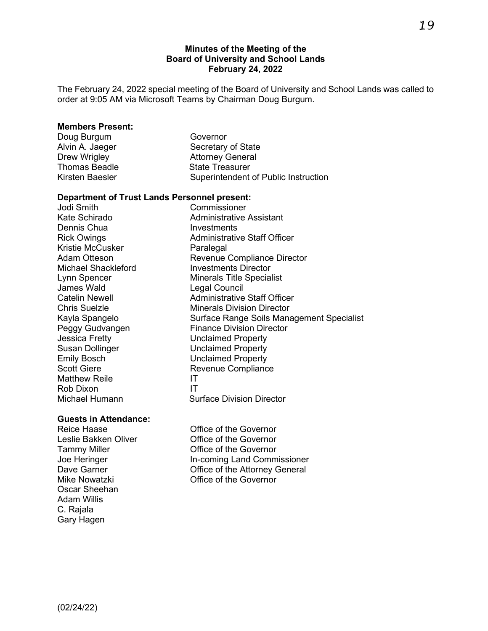#### **Minutes of the Meeting of the Board of University and School Lands February 24, 2022**

The February 24, 2022 special meeting of the Board of University and School Lands was called to order at 9:05 AM via Microsoft Teams by Chairman Doug Burgum.

#### **Members Present:**

| Doug Burgum          | Governor                             |
|----------------------|--------------------------------------|
| Alvin A. Jaeger      | Secretary of State                   |
| Drew Wrigley         | <b>Attorney General</b>              |
| <b>Thomas Beadle</b> | <b>State Treasurer</b>               |
| Kirsten Baesler      | Superintendent of Public Instruction |
|                      |                                      |

# **Department of Trust Lands Personnel present:**

Commissioner Kate Schirado **Administrative Assistant** Dennis Chua **Investments** Rick Owings **Administrative Staff Officer** Kristie McCusker Paralegal Adam Otteson **Revenue Compliance Director**<br>
Michael Shackleford **Revenue Compliance Director** Michael Shackleford Lynn Spencer Minerals Title Specialist James Wald<br>Catelin Newell Catelin Administrative Administrative Staff Officer **Chris Suelzle Minerals Division Director** Kayla Spangelo Surface Range Soils Management Specialist<br>Peggy Gudvangen Finance Division Director Peggy Gudvangen Finance Division Director<br>
Jessica Fretty<br>
Unclaimed Property **Unclaimed Property** Susan Dollinger **Unclaimed Property** Emily Bosch Unclaimed Property Scott Giere **Revenue Compliance** Matthew Reile **IT** Rob Dixon IT Surface Division Director

# **Guests in Attendance:**

Oscar Sheehan Adam Willis C. Rajala Gary Hagen

Office of the Governor Leslie Bakken Oliver **Conservant Conservant Conservant Conservant Conservant Conservant Conservant Conservant** Tammy Miller **Communist Communist Communist Communist Communist Communist Communist Communist Communist Communist Communist Communist Communist Communist Communist Communist Communist Communist Communist Communist Communis** Joe Heringer **In-coming Land Commissioner** Dave Garner **Dave Garner** CH Conservative of the Attorney General Mike Nowatzki Office of the Governor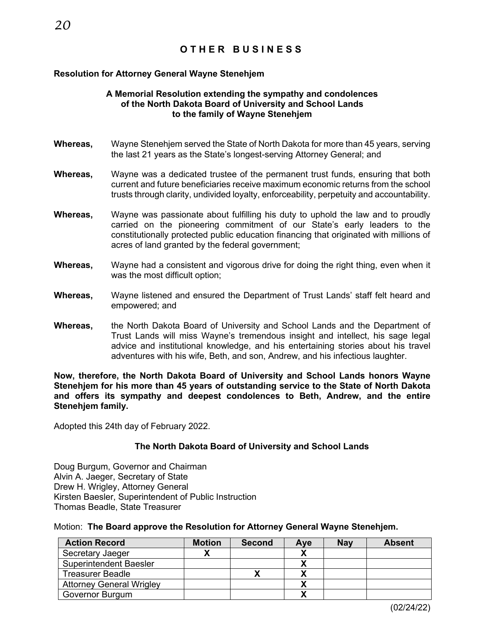#### **Resolution for Attorney General Wayne Stenehjem**

#### **A Memorial Resolution extending the sympathy and condolences of the North Dakota Board of University and School Lands to the family of Wayne Stenehjem**

- **Whereas,** Wayne Stenehjem served the State of North Dakota for more than 45 years, serving the last 21 years as the State's longest-serving Attorney General; and
- **Whereas,** Wayne was a dedicated trustee of the permanent trust funds, ensuring that both current and future beneficiaries receive maximum economic returns from the school trusts through clarity, undivided loyalty, enforceability, perpetuity and accountability.
- **Whereas,** Wayne was passionate about fulfilling his duty to uphold the law and to proudly carried on the pioneering commitment of our State's early leaders to the constitutionally protected public education financing that originated with millions of acres of land granted by the federal government;
- **Whereas,** Wayne had a consistent and vigorous drive for doing the right thing, even when it was the most difficult option;
- **Whereas,** Wayne listened and ensured the Department of Trust Lands' staff felt heard and empowered; and
- **Whereas,** the North Dakota Board of University and School Lands and the Department of Trust Lands will miss Wayne's tremendous insight and intellect, his sage legal advice and institutional knowledge, and his entertaining stories about his travel adventures with his wife, Beth, and son, Andrew, and his infectious laughter.

**Now, therefore, the North Dakota Board of University and School Lands honors Wayne Stenehjem for his more than 45 years of outstanding service to the State of North Dakota and offers its sympathy and deepest condolences to Beth, Andrew, and the entire Stenehjem family.** 

Adopted this 24th day of February 2022.

#### **The North Dakota Board of University and School Lands**

Doug Burgum, Governor and Chairman Alvin A. Jaeger, Secretary of State Drew H. Wrigley, Attorney General Kirsten Baesler, Superintendent of Public Instruction Thomas Beadle, State Treasurer

#### Motion: **The Board approve the Resolution for Attorney General Wayne Stenehjem.**

| <b>Action Record</b>            | <b>Motion</b> | <b>Second</b> | Ave | <b>Nav</b> | <b>Absent</b> |
|---------------------------------|---------------|---------------|-----|------------|---------------|
| Secretary Jaeger                |               |               |     |            |               |
| <b>Superintendent Baesler</b>   |               |               |     |            |               |
| <b>Treasurer Beadle</b>         |               |               |     |            |               |
| <b>Attorney General Wrigley</b> |               |               |     |            |               |
| Governor Burgum                 |               |               |     |            |               |

(02/24/22)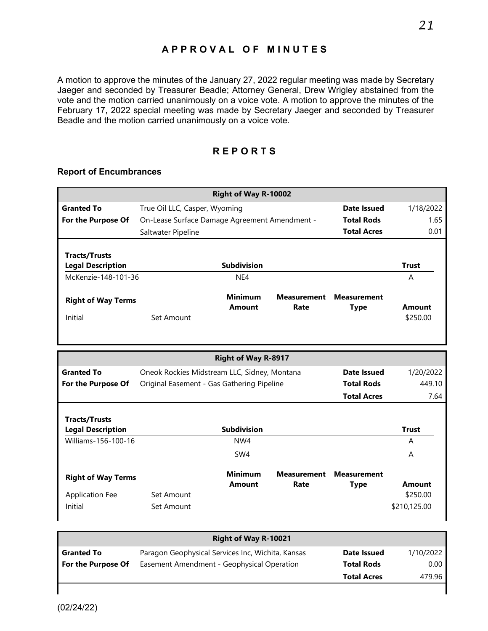# **APPROVAL OF MINUTES**

A motion to approve the minutes of the January 27, 2022 regular meeting was made by Secretary Jaeger and seconded by Treasurer Beadle; Attorney General, Drew Wrigley abstained from the vote and the motion carried unanimously on a voice vote. A motion to approve the minutes of the February 17, 2022 special meeting was made by Secretary Jaeger and seconded by Treasurer Beadle and the motion carried unanimously on a voice vote.

# **REPORTS**

#### **Report of Encumbrances**

|                                                  |                                               | Right of Way R-10002            |                            |                                   |                                         |
|--------------------------------------------------|-----------------------------------------------|---------------------------------|----------------------------|-----------------------------------|-----------------------------------------|
| <b>Granted To</b>                                | True Oil LLC, Casper, Wyoming                 |                                 |                            | <b>Date Issued</b>                | 1/18/2022                               |
| For the Purpose Of                               | On-Lease Surface Damage Agreement Amendment - |                                 |                            | <b>Total Rods</b>                 | 1.65                                    |
|                                                  | Saltwater Pipeline                            |                                 |                            | <b>Total Acres</b>                | 0.01                                    |
| <b>Tracts/Trusts</b>                             |                                               |                                 |                            |                                   |                                         |
| <b>Legal Description</b>                         |                                               | <b>Subdivision</b>              |                            |                                   | <b>Trust</b>                            |
| McKenzie-148-101-36                              |                                               | NE4                             |                            |                                   | A                                       |
| <b>Right of Way Terms</b>                        |                                               | <b>Minimum</b><br><b>Amount</b> | <b>Measurement</b><br>Rate | <b>Measurement</b><br><b>Type</b> | <b>Amount</b>                           |
| Initial                                          | Set Amount                                    |                                 |                            |                                   | \$250.00                                |
|                                                  |                                               |                                 |                            |                                   |                                         |
|                                                  |                                               | <b>Right of Way R-8917</b>      |                            |                                   |                                         |
| <b>Granted To</b>                                | Oneok Rockies Midstream LLC, Sidney, Montana  |                                 |                            | <b>Date Issued</b>                |                                         |
| For the Purpose Of                               | Original Easement - Gas Gathering Pipeline    |                                 |                            | <b>Total Rods</b>                 |                                         |
|                                                  |                                               |                                 |                            | <b>Total Acres</b>                |                                         |
| <b>Tracts/Trusts</b><br><b>Legal Description</b> |                                               | <b>Subdivision</b>              |                            |                                   | <b>Trust</b>                            |
| Williams-156-100-16                              |                                               | NW4                             |                            |                                   | A                                       |
|                                                  |                                               | SW <sub>4</sub>                 |                            |                                   | A                                       |
| <b>Right of Way Terms</b>                        |                                               | <b>Minimum</b><br><b>Amount</b> | <b>Measurement</b><br>Rate | <b>Measurement</b><br><b>Type</b> | <b>Amount</b>                           |
| <b>Application Fee</b>                           | Set Amount                                    |                                 |                            |                                   | 1/20/2022<br>449.10<br>7.64<br>\$250.00 |

| <b>Right of Way R-10021</b> |                                                   |                    |           |  |  |
|-----------------------------|---------------------------------------------------|--------------------|-----------|--|--|
| <b>Granted To</b>           | Paragon Geophysical Services Inc, Wichita, Kansas | Date Issued        | 1/10/2022 |  |  |
| For the Purpose Of          | Easement Amendment - Geophysical Operation        | <b>Total Rods</b>  | 0.00      |  |  |
|                             |                                                   | <b>Total Acres</b> | 479.96    |  |  |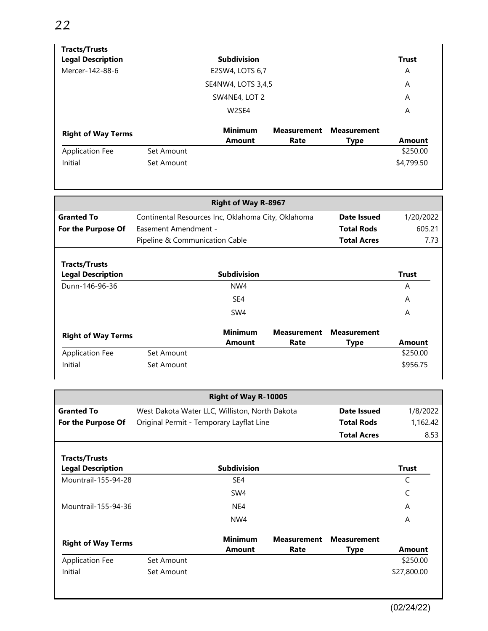# **Tracts/Trusts**

| <b>Legal Description</b>  | <b>Subdivision</b> |                                 |                            |                                   |               |
|---------------------------|--------------------|---------------------------------|----------------------------|-----------------------------------|---------------|
| Mercer-142-88-6           |                    | E2SW4, LOTS 6,7                 |                            |                                   | A             |
|                           |                    | SE4NW4, LOTS 3,4,5              |                            |                                   | A             |
|                           |                    | SW4NE4, LOT 2                   |                            |                                   | A             |
|                           |                    | W <sub>2</sub> SE4              |                            |                                   | A             |
| <b>Right of Way Terms</b> |                    | <b>Minimum</b><br><b>Amount</b> | <b>Measurement</b><br>Rate | <b>Measurement</b><br><b>Type</b> | <b>Amount</b> |
| <b>Application Fee</b>    | Set Amount         |                                 |                            |                                   | \$250.00      |
| Initial                   | Set Amount         |                                 |                            |                                   | \$4,799.50    |

|                                                                                        |                      | <b>Right of Way R-8967</b>     |                    |                    |               |  |
|----------------------------------------------------------------------------------------|----------------------|--------------------------------|--------------------|--------------------|---------------|--|
| <b>Granted To</b><br>Continental Resources Inc, Oklahoma City, Oklahoma<br>Date Issued |                      |                                |                    |                    |               |  |
| For the Purpose Of                                                                     | Easement Amendment - |                                |                    | <b>Total Rods</b>  | 605.21        |  |
|                                                                                        |                      | Pipeline & Communication Cable |                    |                    | 7.73          |  |
| <b>Tracts/Trusts</b><br><b>Legal Description</b>                                       |                      | <b>Subdivision</b>             |                    |                    | <b>Trust</b>  |  |
| Dunn-146-96-36                                                                         |                      | NW4                            |                    |                    | A             |  |
|                                                                                        |                      | SE4                            |                    |                    | A             |  |
|                                                                                        |                      | SW4                            |                    |                    | A             |  |
| <b>Right of Way Terms</b>                                                              |                      | <b>Minimum</b>                 | <b>Measurement</b> | <b>Measurement</b> |               |  |
|                                                                                        |                      | <b>Amount</b>                  | Rate               | Type               | <b>Amount</b> |  |
| <b>Application Fee</b>                                                                 | Set Amount           |                                |                    |                    | \$250.00      |  |
| Initial                                                                                | Set Amount           |                                |                    |                    | \$956.75      |  |

|                                                  |                                          | Right of Way R-10005                                          |                            |                                   |              |
|--------------------------------------------------|------------------------------------------|---------------------------------------------------------------|----------------------------|-----------------------------------|--------------|
| <b>Granted To</b>                                |                                          | West Dakota Water LLC, Williston, North Dakota<br>Date Issued |                            |                                   |              |
| For the Purpose Of                               | Original Permit - Temporary Layflat Line |                                                               |                            | <b>Total Rods</b>                 | 1,162.42     |
|                                                  |                                          |                                                               |                            | <b>Total Acres</b>                | 8.53         |
| <b>Tracts/Trusts</b><br><b>Legal Description</b> |                                          | <b>Subdivision</b>                                            |                            |                                   | <b>Trust</b> |
| Mountrail-155-94-28                              |                                          | SE4                                                           |                            |                                   | C            |
|                                                  |                                          | SW4                                                           |                            |                                   | C            |
| Mountrail-155-94-36                              |                                          | NE4                                                           |                            |                                   | A            |
|                                                  |                                          | NW4                                                           |                            |                                   | A            |
| <b>Right of Way Terms</b>                        |                                          | <b>Minimum</b><br>Amount                                      | <b>Measurement</b><br>Rate | <b>Measurement</b><br><b>Type</b> | Amount       |
| <b>Application Fee</b>                           | Set Amount                               |                                                               |                            |                                   | \$250.00     |
| Initial                                          | Set Amount                               |                                                               |                            |                                   | \$27,800.00  |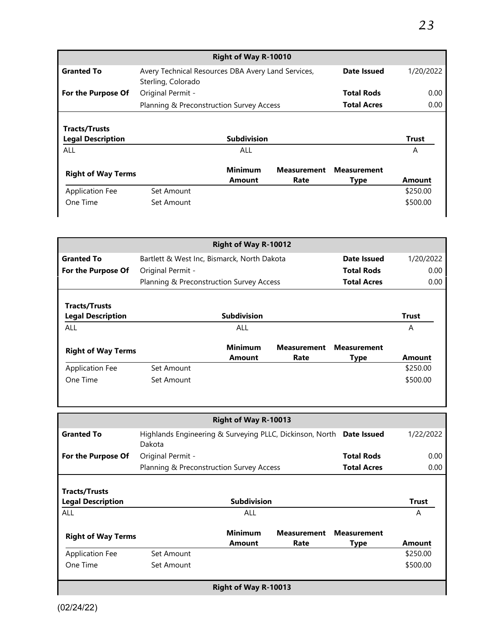| <b>Right of Way R-10010</b>                      |                                                                                         |                          |                            |                                   |              |  |  |
|--------------------------------------------------|-----------------------------------------------------------------------------------------|--------------------------|----------------------------|-----------------------------------|--------------|--|--|
| <b>Granted To</b>                                | Date Issued<br>Avery Technical Resources DBA Avery Land Services,<br>Sterling, Colorado |                          |                            |                                   | 1/20/2022    |  |  |
| For the Purpose Of                               | Original Permit -                                                                       |                          |                            | <b>Total Rods</b>                 | 0.00         |  |  |
|                                                  | Planning & Preconstruction Survey Access                                                |                          |                            | <b>Total Acres</b>                | 0.00         |  |  |
| <b>Tracts/Trusts</b><br><b>Legal Description</b> |                                                                                         | <b>Subdivision</b>       |                            |                                   | <b>Trust</b> |  |  |
| ALL                                              |                                                                                         | ALL                      |                            |                                   | A            |  |  |
| <b>Right of Way Terms</b>                        |                                                                                         | <b>Minimum</b><br>Amount | <b>Measurement</b><br>Rate | <b>Measurement</b><br><b>Type</b> | Amount       |  |  |
| <b>Application Fee</b>                           | Set Amount                                                                              |                          |                            |                                   | \$250.00     |  |  |
| One Time                                         | Set Amount                                                                              |                          |                            |                                   | \$500.00     |  |  |

| <b>Right of Way R-10012</b>                      |                                             |                          |                            |                                   |              |  |
|--------------------------------------------------|---------------------------------------------|--------------------------|----------------------------|-----------------------------------|--------------|--|
| <b>Granted To</b>                                | Bartlett & West Inc, Bismarck, North Dakota |                          |                            | Date Issued                       | 1/20/2022    |  |
| For the Purpose Of                               | Original Permit -                           |                          |                            | <b>Total Rods</b>                 | 0.00         |  |
|                                                  | Planning & Preconstruction Survey Access    |                          |                            | <b>Total Acres</b>                | 0.00         |  |
| <b>Tracts/Trusts</b><br><b>Legal Description</b> |                                             | <b>Subdivision</b>       |                            |                                   | <b>Trust</b> |  |
| ALL                                              |                                             | ALL                      |                            |                                   | A            |  |
| <b>Right of Way Terms</b>                        |                                             | <b>Minimum</b><br>Amount | <b>Measurement</b><br>Rate | <b>Measurement</b><br><b>Type</b> | Amount       |  |
| <b>Application Fee</b>                           | Set Amount                                  |                          |                            |                                   | \$250.00     |  |
| One Time                                         | Set Amount                                  |                          |                            |                                   | \$500.00     |  |

|                                                  |                                                                                | Right of Way R-10013     |                            |                            |               |
|--------------------------------------------------|--------------------------------------------------------------------------------|--------------------------|----------------------------|----------------------------|---------------|
| <b>Granted To</b>                                | Highlands Engineering & Surveying PLLC, Dickinson, North Date Issued<br>Dakota |                          |                            |                            | 1/22/2022     |
| For the Purpose Of                               | Original Permit -                                                              |                          |                            | <b>Total Rods</b>          | 0.00          |
|                                                  | Planning & Preconstruction Survey Access                                       |                          |                            | <b>Total Acres</b>         | 0.00          |
| <b>Tracts/Trusts</b><br><b>Legal Description</b> |                                                                                | <b>Subdivision</b>       |                            |                            | <b>Trust</b>  |
| <b>ALL</b>                                       |                                                                                | ALL                      |                            |                            | A             |
| <b>Right of Way Terms</b>                        |                                                                                | <b>Minimum</b><br>Amount | <b>Measurement</b><br>Rate | <b>Measurement</b><br>Type | <b>Amount</b> |
| <b>Application Fee</b>                           | Set Amount                                                                     |                          |                            |                            | \$250.00      |
| One Time                                         | Set Amount                                                                     |                          |                            |                            | \$500.00      |
| <b>Right of Way R-10013</b>                      |                                                                                |                          |                            |                            |               |

I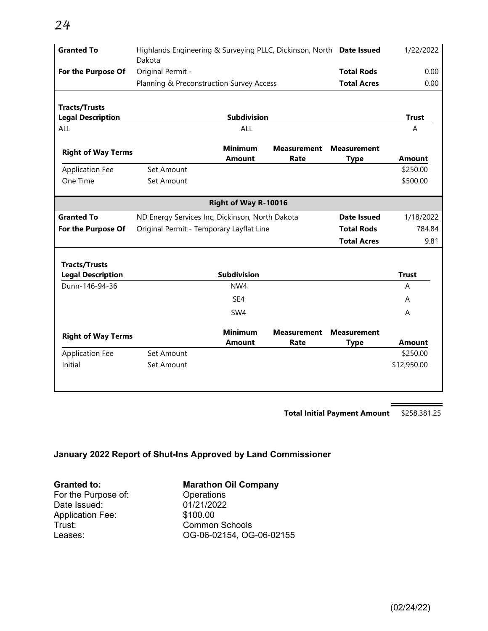| <b>Granted To</b>         | Highlands Engineering & Surveying PLLC, Dickinson, North Date Issued<br>Dakota | 1/22/2022                       |                            |                                   |               |
|---------------------------|--------------------------------------------------------------------------------|---------------------------------|----------------------------|-----------------------------------|---------------|
| For the Purpose Of        | Original Permit -                                                              |                                 |                            | <b>Total Rods</b>                 | 0.00          |
|                           | Planning & Preconstruction Survey Access                                       |                                 |                            | <b>Total Acres</b>                | 0.00          |
|                           |                                                                                |                                 |                            |                                   |               |
| <b>Tracts/Trusts</b>      |                                                                                |                                 |                            |                                   |               |
| <b>Legal Description</b>  |                                                                                | <b>Subdivision</b>              |                            |                                   | <b>Trust</b>  |
| ALL                       |                                                                                | <b>ALL</b>                      |                            |                                   | A             |
| <b>Right of Way Terms</b> |                                                                                | <b>Minimum</b><br><b>Amount</b> | <b>Measurement</b><br>Rate | <b>Measurement</b>                | <b>Amount</b> |
| <b>Application Fee</b>    | Set Amount                                                                     |                                 |                            | <b>Type</b>                       | \$250.00      |
| One Time                  | Set Amount                                                                     |                                 |                            |                                   | \$500.00      |
|                           |                                                                                |                                 |                            |                                   |               |
|                           |                                                                                | Right of Way R-10016            |                            |                                   |               |
| <b>Granted To</b>         | ND Energy Services Inc, Dickinson, North Dakota                                |                                 |                            | Date Issued                       | 1/18/2022     |
| For the Purpose Of        | Original Permit - Temporary Layflat Line                                       |                                 |                            | <b>Total Rods</b>                 | 784.84        |
|                           |                                                                                |                                 |                            | <b>Total Acres</b>                | 9.81          |
|                           |                                                                                |                                 |                            |                                   |               |
| <b>Tracts/Trusts</b>      |                                                                                |                                 |                            |                                   |               |
| <b>Legal Description</b>  |                                                                                | <b>Subdivision</b>              |                            |                                   | <b>Trust</b>  |
| Dunn-146-94-36            |                                                                                | NW4                             |                            |                                   | А             |
|                           |                                                                                | SE4                             |                            |                                   | A             |
|                           |                                                                                | SW4                             |                            |                                   | A             |
| <b>Right of Way Terms</b> |                                                                                | <b>Minimum</b><br><b>Amount</b> | <b>Measurement</b><br>Rate | <b>Measurement</b><br><b>Type</b> | <b>Amount</b> |
| <b>Application Fee</b>    | Set Amount                                                                     |                                 |                            |                                   | \$250.00      |
| Initial                   | Set Amount                                                                     |                                 |                            |                                   | \$12,950.00   |
|                           |                                                                                |                                 |                            |                                   |               |

**Total Initial Payment Amount** \$258,381.25

# **January 2022 Report of Shut-Ins Approved by Land Commissioner**

For the Purpose of: Coperations<br>Date Issued: 01/21/2022 Date Issued: 01/21/20<br>Application Fee: \$100.00 Application Fee:<br>Trust: Trust: Common Schools

# **Granted to: Marathon Oil Company**<br> **For the Purpose of: Conditions**

OG-06-02154, OG-06-02155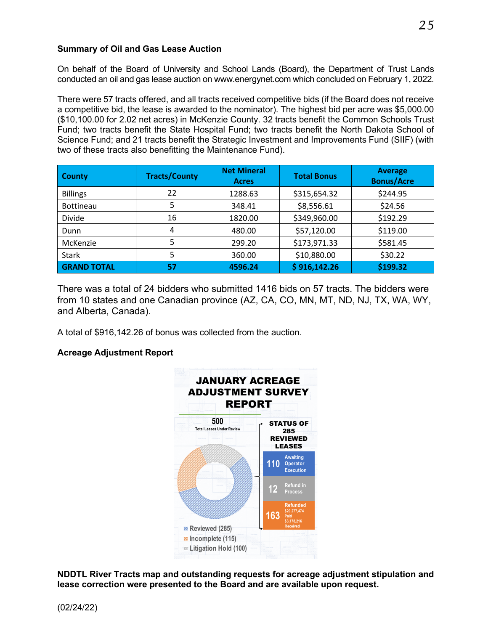#### **Summary of Oil and Gas Lease Auction**

On behalf of the Board of University and School Lands (Board), the Department of Trust Lands conducted an oil and gas lease auction on www.energynet.com which concluded on February 1, 2022.

There were 57 tracts offered, and all tracts received competitive bids (if the Board does not receive a competitive bid, the lease is awarded to the nominator). The highest bid per acre was \$5,000.00 (\$10,100.00 for 2.02 net acres) in McKenzie County. 32 tracts benefit the Common Schools Trust Fund; two tracts benefit the State Hospital Fund; two tracts benefit the North Dakota School of Science Fund; and 21 tracts benefit the Strategic Investment and Improvements Fund (SIIF) (with two of these tracts also benefitting the Maintenance Fund).

| <b>County</b>      | <b>Tracts/County</b> | <b>Net Mineral</b><br><b>Acres</b> | <b>Total Bonus</b> | <b>Average</b><br><b>Bonus/Acre</b> |
|--------------------|----------------------|------------------------------------|--------------------|-------------------------------------|
| <b>Billings</b>    | 22                   | 1288.63                            | \$315,654.32       | \$244.95                            |
| <b>Bottineau</b>   | 5                    | 348.41                             | \$8,556.61         | \$24.56                             |
| Divide             | 16                   | 1820.00                            | \$349,960.00       | \$192.29                            |
| Dunn               | 4                    | 480.00                             | \$57,120.00        | \$119.00                            |
| McKenzie           | 5                    | 299.20                             | \$173,971.33       | \$581.45                            |
| <b>Stark</b>       | 5                    | 360.00                             | \$10,880.00        | \$30.22                             |
| <b>GRAND TOTAL</b> | 57                   | 4596.24                            | \$916,142.26       | \$199.32                            |

There was a total of 24 bidders who submitted 1416 bids on 57 tracts. The bidders were from 10 states and one Canadian province (AZ, CA, CO, MN, MT, ND, NJ, TX, WA, WY, and Alberta, Canada).

A total of \$916,142.26 of bonus was collected from the auction.

## **Acreage Adjustment Report**



**NDDTL River Tracts map and outstanding requests for acreage adjustment stipulation and lease correction were presented to the Board and are available upon request.**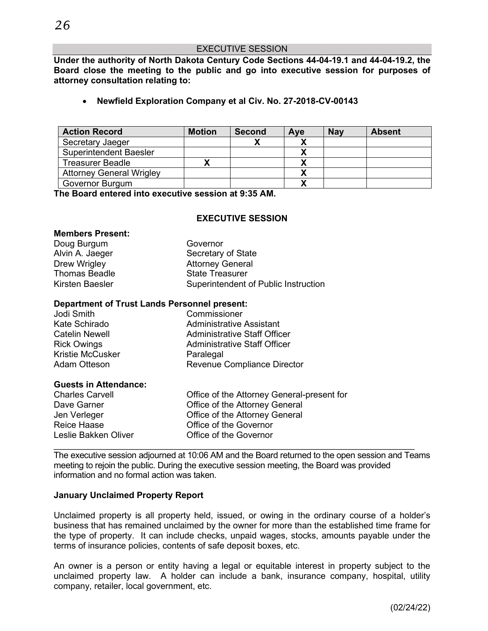**Under the authority of North Dakota Century Code Sections 44-04-19.1 and 44-04-19.2, the Board close the meeting to the public and go into executive session for purposes of attorney consultation relating to:**

• **Newfield Exploration Company et al Civ. No. 27-2018-CV-00143**

| <b>Action Record</b>            | <b>Motion</b> | <b>Second</b> | Aye | <b>Nay</b> | <b>Absent</b> |
|---------------------------------|---------------|---------------|-----|------------|---------------|
| Secretary Jaeger                |               |               |     |            |               |
| <b>Superintendent Baesler</b>   |               |               |     |            |               |
| Treasurer Beadle                |               |               |     |            |               |
| <b>Attorney General Wrigley</b> |               |               |     |            |               |
| Governor Burgum                 |               |               |     |            |               |

**The Board entered into executive session at 9:35 AM.**

#### **EXECUTIVE SESSION**

#### **Members Present:**

| Governor                             |
|--------------------------------------|
| Secretary of State                   |
| <b>Attorney General</b>              |
| <b>State Treasurer</b>               |
| Superintendent of Public Instruction |
|                                      |

#### **Department of Trust Lands Personnel present:**

| Jodi Smith              | Commissioner                        |
|-------------------------|-------------------------------------|
| Kate Schirado           | <b>Administrative Assistant</b>     |
| <b>Catelin Newell</b>   | <b>Administrative Staff Officer</b> |
| <b>Rick Owings</b>      | <b>Administrative Staff Officer</b> |
| <b>Kristie McCusker</b> | Paralegal                           |
| <b>Adam Otteson</b>     | <b>Revenue Compliance Director</b>  |
|                         |                                     |

#### **Guests in Attendance:**

| <b>Charles Carvell</b> | Office of the Attorney General-present for |
|------------------------|--------------------------------------------|
| Dave Garner            | Office of the Attorney General             |
| Jen Verleger           | Office of the Attorney General             |
| Reice Haase            | Office of the Governor                     |
| Leslie Bakken Oliver   | Office of the Governor                     |

The executive session adjourned at 10:06 AM and the Board returned to the open session and Teams meeting to rejoin the public. During the executive session meeting, the Board was provided information and no formal action was taken.

 $\mathcal{L}_\text{max}$  , and the contribution of the contribution of the contribution of the contribution of the contribution of the contribution of the contribution of the contribution of the contribution of the contribution of t

#### **January Unclaimed Property Report**

Unclaimed property is all property held, issued, or owing in the ordinary course of a holder's business that has remained unclaimed by the owner for more than the established time frame for the type of property. It can include checks, unpaid wages, stocks, amounts payable under the terms of insurance policies, contents of safe deposit boxes, etc.

An owner is a person or entity having a legal or equitable interest in property subject to the unclaimed property law. A holder can include a bank, insurance company, hospital, utility company, retailer, local government, etc.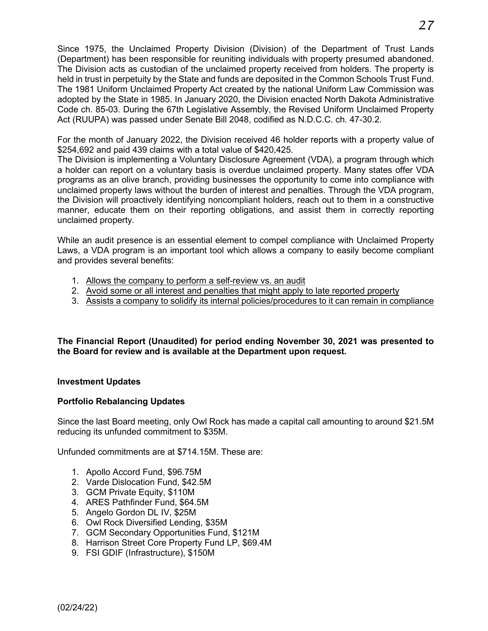Since 1975, the Unclaimed Property Division (Division) of the Department of Trust Lands (Department) has been responsible for reuniting individuals with property presumed abandoned. The Division acts as custodian of the unclaimed property received from holders. The property is held in trust in perpetuity by the State and funds are deposited in the Common Schools Trust Fund. The 1981 Uniform Unclaimed Property Act created by the national Uniform Law Commission was adopted by the State in 1985. In January 2020, the Division enacted North Dakota Administrative Code ch. 85-03. During the 67th Legislative Assembly, the Revised Uniform Unclaimed Property Act (RUUPA) was passed under Senate Bill 2048, codified as N.D.C.C. ch. 47-30.2.

For the month of January 2022, the Division received 46 holder reports with a property value of \$254,692 and paid 439 claims with a total value of \$420,425.

The Division is implementing a Voluntary Disclosure Agreement (VDA), a program through which a holder can report on a voluntary basis is overdue unclaimed property. Many states offer VDA programs as an olive branch, providing businesses the opportunity to come into compliance with unclaimed property laws without the burden of interest and penalties. Through the VDA program, the Division will proactively identifying noncompliant holders, reach out to them in a constructive manner, educate them on their reporting obligations, and assist them in correctly reporting unclaimed property.

While an audit presence is an essential element to compel compliance with Unclaimed Property Laws, a VDA program is an important tool which allows a company to easily become compliant and provides several benefits:

- 1. Allows the company to perform a self-review vs. an audit
- 2. Avoid some or all interest and penalties that might apply to late reported property
- 3. Assists a company to solidify its internal policies/procedures to it can remain in compliance

**The Financial Report (Unaudited) for period ending November 30, 2021 was presented to the Board for review and is available at the Department upon request.**

#### **Investment Updates**

#### **Portfolio Rebalancing Updates**

Since the last Board meeting, only Owl Rock has made a capital call amounting to around \$21.5M reducing its unfunded commitment to \$35M.

Unfunded commitments are at \$714.15M. These are:

- 1. Apollo Accord Fund, \$96.75M
- 2. Varde Dislocation Fund, \$42.5M
- 3. GCM Private Equity, \$110M
- 4. ARES Pathfinder Fund, \$64.5M
- 5. Angelo Gordon DL IV, \$25M
- 6. Owl Rock Diversified Lending, \$35M
- 7. GCM Secondary Opportunities Fund, \$121M
- 8. Harrison Street Core Property Fund LP, \$69.4M
- 9. FSI GDIF (Infrastructure), \$150M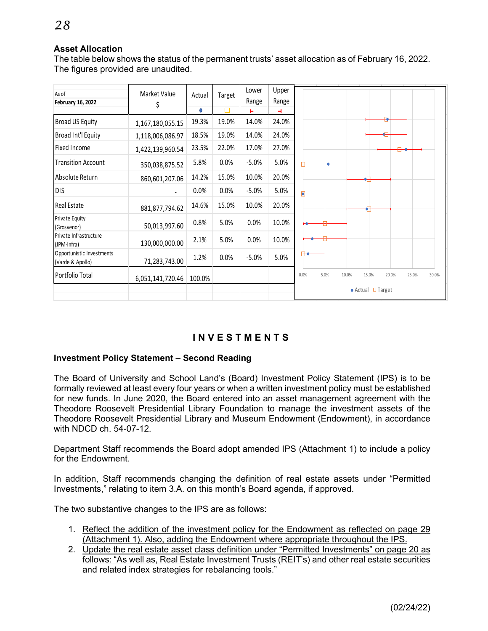#### **Asset Allocation**

The table below shows the status of the permanent trusts' asset allocation as of February 16, 2022. The figures provided are unaudited.

| As of                                         | Market Value     | Actual | Target | Lower   | Upper      |                                                           |  |  |  |
|-----------------------------------------------|------------------|--------|--------|---------|------------|-----------------------------------------------------------|--|--|--|
| <b>February 16, 2022</b>                      | Ş                | 0      |        | Range   | Range<br>4 |                                                           |  |  |  |
| Broad US Equity                               | 1,167,180,055.15 | 19.3%  | 19.0%  | 14.0%   | 24.0%      |                                                           |  |  |  |
| Broad Int'l Equity                            | 1,118,006,086.97 | 18.5%  | 19.0%  | 14.0%   | 24.0%      |                                                           |  |  |  |
| <b>Fixed Income</b>                           | 1,422,139,960.54 | 23.5%  | 22.0%  | 17.0%   | 27.0%      |                                                           |  |  |  |
| <b>Transition Account</b>                     | 350,038,875.52   | 5.8%   | 0.0%   | $-5.0%$ | 5.0%       | П<br>۰                                                    |  |  |  |
| Absolute Return                               | 860,601,207.06   | 14.2%  | 15.0%  | 10.0%   | 20.0%      |                                                           |  |  |  |
| <b>DIS</b>                                    |                  | 0.0%   | 0.0%   | $-5.0%$ | 5.0%       |                                                           |  |  |  |
| <b>Real Estate</b>                            | 881,877,794.62   | 14.6%  | 15.0%  | 10.0%   | 20.0%      |                                                           |  |  |  |
| Private Equity<br>(Grosvenor)                 | 50,013,997.60    | 0.8%   | 5.0%   | 0.0%    | 10.0%      |                                                           |  |  |  |
| Private Infrastructure<br>(JPM-Infra)         | 130,000,000.00   | 2.1%   | 5.0%   | 0.0%    | 10.0%      |                                                           |  |  |  |
| Opportunistic Investments<br>(Varde & Apollo) | 71,283,743.00    | 1.2%   | 0.0%   | $-5.0%$ | 5.0%       |                                                           |  |  |  |
| Portfolio Total                               | 6,051,141,720.46 | 100.0% |        |         |            | 5.0%<br>0.0%<br>10.0%<br>15.0%<br>20.0%<br>25.0%<br>30.0% |  |  |  |
|                                               |                  |        |        |         |            | $\bullet$ Actual $\Box$ Target                            |  |  |  |

# **INVEST MENT S**

#### **Investment Policy Statement – Second Reading**

The Board of University and School Land's (Board) Investment Policy Statement (IPS) is to be formally reviewed at least every four years or when a written investment policy must be established for new funds. In June 2020, the Board entered into an asset management agreement with the Theodore Roosevelt Presidential Library Foundation to manage the investment assets of the Theodore Roosevelt Presidential Library and Museum Endowment (Endowment), in accordance with NDCD ch. 54-07-12.

Department Staff recommends the Board adopt amended IPS (Attachment 1) to include a policy for the Endowment.

In addition, Staff recommends changing the definition of real estate assets under "Permitted Investments," relating to item 3.A. on this month's Board agenda, if approved.

The two substantive changes to the IPS are as follows:

- 1. Reflect the addition of the investment policy for the Endowment as reflected on page 29 (Attachment 1). Also, adding the Endowment where appropriate throughout the IPS.
- 2. Update the real estate asset class definition under "Permitted Investments" on page 20 as follows: "As well as, Real Estate Investment Trusts (REIT's) and other real estate securities and related index strategies for rebalancing tools."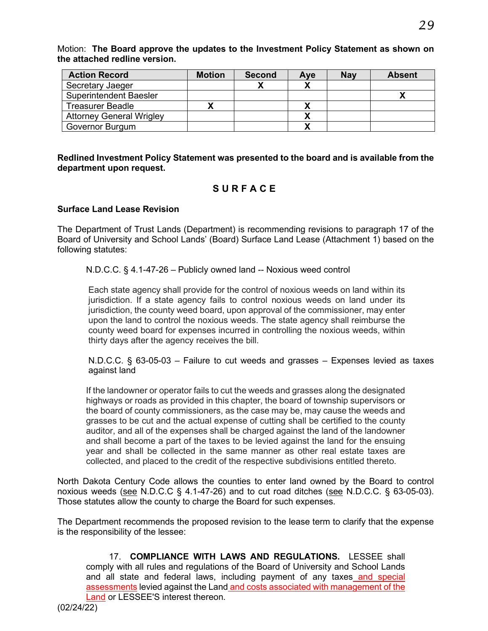Motion: **The Board approve the updates to the Investment Policy Statement as shown on the attached redline version.**

| <b>Action Record</b>            | <b>Motion</b> | <b>Second</b> | Ave | <b>Nav</b> | <b>Absent</b> |
|---------------------------------|---------------|---------------|-----|------------|---------------|
| Secretary Jaeger                |               |               |     |            |               |
| <b>Superintendent Baesler</b>   |               |               |     |            |               |
| <b>Treasurer Beadle</b>         |               |               |     |            |               |
| <b>Attorney General Wrigley</b> |               |               |     |            |               |
| <b>Governor Burgum</b>          |               |               |     |            |               |

**Redlined Investment Policy Statement was presented to the board and is available from the department upon request.**

# **SURFACE**

#### **Surface Land Lease Revision**

The Department of Trust Lands (Department) is recommending revisions to paragraph 17 of the Board of University and School Lands' (Board) Surface Land Lease (Attachment 1) based on the following statutes:

N.D.C.C. § 4.1-47-26 – Publicly owned land -- Noxious weed control

Each state agency shall provide for the control of noxious weeds on land within its jurisdiction. If a state agency fails to control noxious weeds on land under its jurisdiction, the county weed board, upon approval of the commissioner, may enter upon the land to control the noxious weeds. The state agency shall reimburse the county weed board for expenses incurred in controlling the noxious weeds, within thirty days after the agency receives the bill.

N.D.C.C. § 63-05-03 – Failure to cut weeds and grasses – Expenses levied as taxes against land

If the landowner or operator fails to cut the weeds and grasses along the designated highways or roads as provided in this chapter, the board of township supervisors or the board of county commissioners, as the case may be, may cause the weeds and grasses to be cut and the actual expense of cutting shall be certified to the county auditor, and all of the expenses shall be charged against the land of the landowner and shall become a part of the taxes to be levied against the land for the ensuing year and shall be collected in the same manner as other real estate taxes are collected, and placed to the credit of the respective subdivisions entitled thereto.

North Dakota Century Code allows the counties to enter land owned by the Board to control noxious weeds (see N.D.C.C § 4.1-47-26) and to cut road ditches (see N.D.C.C. § 63-05-03). Those statutes allow the county to charge the Board for such expenses.

The Department recommends the proposed revision to the lease term to clarify that the expense is the responsibility of the lessee:

17. **COMPLIANCE WITH LAWS AND REGULATIONS.** LESSEE shall comply with all rules and regulations of the Board of University and School Lands and all state and federal laws, including payment of any taxes and special assessments levied against the Land and costs associated with management of the Land or LESSEE'S interest thereon.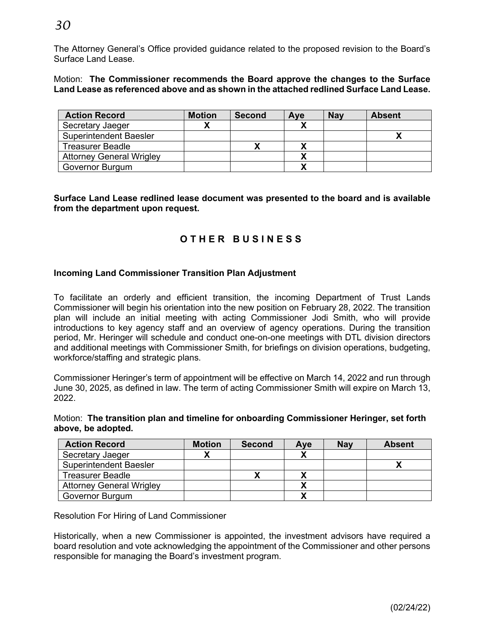# *30*

The Attorney General's Office provided guidance related to the proposed revision to the Board's Surface Land Lease.

Motion: **The Commissioner recommends the Board approve the changes to the Surface Land Lease as referenced above and as shown in the attached redlined Surface Land Lease.**

| <b>Action Record</b>            | <b>Motion</b> | <b>Second</b> | Ave | <b>Nay</b> | <b>Absent</b> |
|---------------------------------|---------------|---------------|-----|------------|---------------|
| Secretary Jaeger                |               |               |     |            |               |
| <b>Superintendent Baesler</b>   |               |               |     |            |               |
| <b>Treasurer Beadle</b>         |               |               |     |            |               |
| <b>Attorney General Wrigley</b> |               |               |     |            |               |
| Governor Burgum                 |               |               |     |            |               |

**Surface Land Lease redlined lease document was presented to the board and is available from the department upon request.**

# **OTHER BUSINESS**

#### **Incoming Land Commissioner Transition Plan Adjustment**

To facilitate an orderly and efficient transition, the incoming Department of Trust Lands Commissioner will begin his orientation into the new position on February 28, 2022. The transition plan will include an initial meeting with acting Commissioner Jodi Smith, who will provide introductions to key agency staff and an overview of agency operations. During the transition period, Mr. Heringer will schedule and conduct one-on-one meetings with DTL division directors and additional meetings with Commissioner Smith, for briefings on division operations, budgeting, workforce/staffing and strategic plans.

Commissioner Heringer's term of appointment will be effective on March 14, 2022 and run through June 30, 2025, as defined in law. The term of acting Commissioner Smith will expire on March 13, 2022.

Motion: **The transition plan and timeline for onboarding Commissioner Heringer, set forth above, be adopted.**

| <b>Action Record</b>            | <b>Motion</b> | <b>Second</b> | Ave | <b>Nay</b> | <b>Absent</b> |
|---------------------------------|---------------|---------------|-----|------------|---------------|
| Secretary Jaeger                |               |               |     |            |               |
| <b>Superintendent Baesler</b>   |               |               |     |            |               |
| <b>Treasurer Beadle</b>         |               |               |     |            |               |
| <b>Attorney General Wrigley</b> |               |               |     |            |               |
| Governor Burgum                 |               |               |     |            |               |

Resolution For Hiring of Land Commissioner

Historically, when a new Commissioner is appointed, the investment advisors have required a board resolution and vote acknowledging the appointment of the Commissioner and other persons responsible for managing the Board's investment program.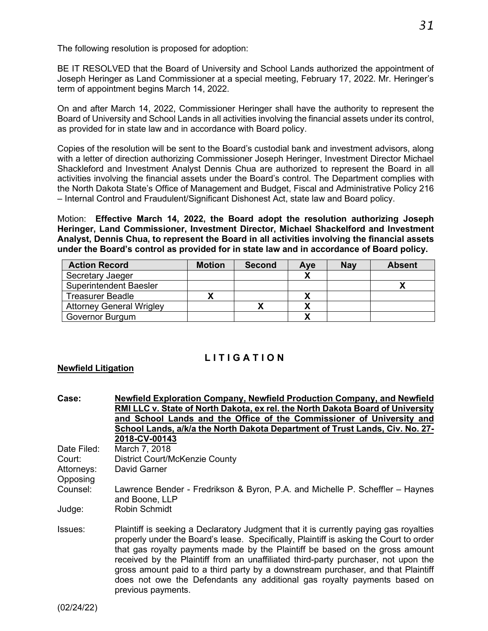The following resolution is proposed for adoption:

BE IT RESOLVED that the Board of University and School Lands authorized the appointment of Joseph Heringer as Land Commissioner at a special meeting, February 17, 2022. Mr. Heringer's term of appointment begins March 14, 2022.

On and after March 14, 2022, Commissioner Heringer shall have the authority to represent the Board of University and School Lands in all activities involving the financial assets under its control, as provided for in state law and in accordance with Board policy.

Copies of the resolution will be sent to the Board's custodial bank and investment advisors, along with a letter of direction authorizing Commissioner Joseph Heringer, Investment Director Michael Shackleford and Investment Analyst Dennis Chua are authorized to represent the Board in all activities involving the financial assets under the Board's control. The Department complies with the North Dakota State's Office of Management and Budget, Fiscal and Administrative Policy 216 – Internal Control and Fraudulent/Significant Dishonest Act, state law and Board policy.

Motion: **Effective March 14, 2022, the Board adopt the resolution authorizing Joseph Heringer, Land Commissioner, Investment Director, Michael Shackelford and Investment Analyst, Dennis Chua, to represent the Board in all activities involving the financial assets under the Board's control as provided for in state law and in accordance of Board policy.**

| <b>Action Record</b>            | <b>Motion</b> | <b>Second</b> | <b>Ave</b> | <b>Nay</b> | <b>Absent</b> |
|---------------------------------|---------------|---------------|------------|------------|---------------|
| Secretary Jaeger                |               |               |            |            |               |
| <b>Superintendent Baesler</b>   |               |               |            |            |               |
| <b>Treasurer Beadle</b>         |               |               |            |            |               |
| <b>Attorney General Wrigley</b> |               |               |            |            |               |
| <b>Governor Burgum</b>          |               |               |            |            |               |

# **LITIGATION**

#### **Newfield Litigation**

| <b>Case:</b> | Newfield Exploration Company, Newfield Production Company, and Newfield                         |
|--------------|-------------------------------------------------------------------------------------------------|
|              | RMI LLC v. State of North Dakota, ex rel. the North Dakota Board of University                  |
|              | and School Lands and the Office of the Commissioner of University and                           |
|              | School Lands, a/k/a the North Dakota Department of Trust Lands, Civ. No. 27-                    |
|              | 2018-CV-00143                                                                                   |
| Date Filed:  | March 7, 2018                                                                                   |
| Court:       | <b>District Court/McKenzie County</b>                                                           |
| Attorneys:   | David Garner                                                                                    |
| Opposing     |                                                                                                 |
| Counsel:     | Lawrence Bender - Fredrikson & Byron, P.A. and Michelle P. Scheffler – Haynes<br>and Boone, LLP |
| Judge:       | <b>Robin Schmidt</b>                                                                            |
|              |                                                                                                 |

Issues: Plaintiff is seeking a Declaratory Judgment that it is currently paying gas royalties properly under the Board's lease. Specifically, Plaintiff is asking the Court to order that gas royalty payments made by the Plaintiff be based on the gross amount received by the Plaintiff from an unaffiliated third-party purchaser, not upon the gross amount paid to a third party by a downstream purchaser, and that Plaintiff does not owe the Defendants any additional gas royalty payments based on previous payments.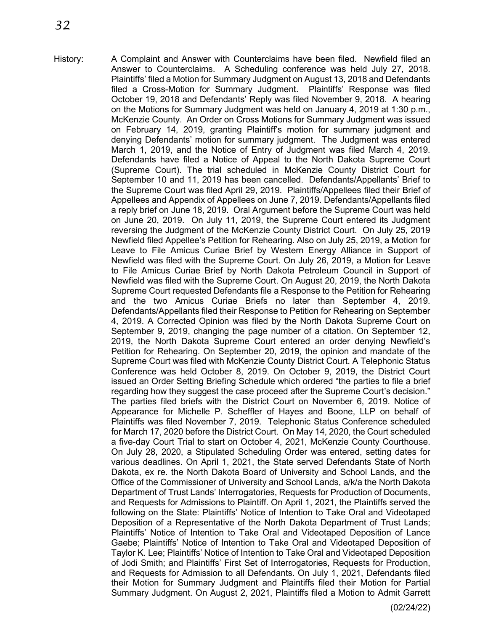History: A Complaint and Answer with Counterclaims have been filed. Newfield filed an Answer to Counterclaims. A Scheduling conference was held July 27, 2018. Plaintiffs' filed a Motion for Summary Judgment on August 13, 2018 and Defendants filed a Cross-Motion for Summary Judgment. Plaintiffs' Response was filed October 19, 2018 and Defendants' Reply was filed November 9, 2018. A hearing on the Motions for Summary Judgment was held on January 4, 2019 at 1:30 p.m., McKenzie County. An Order on Cross Motions for Summary Judgment was issued on February 14, 2019, granting Plaintiff's motion for summary judgment and denying Defendants' motion for summary judgment. The Judgment was entered March 1, 2019, and the Notice of Entry of Judgment was filed March 4, 2019. Defendants have filed a Notice of Appeal to the North Dakota Supreme Court (Supreme Court). The trial scheduled in McKenzie County District Court for September 10 and 11, 2019 has been cancelled. Defendants/Appellants' Brief to the Supreme Court was filed April 29, 2019. Plaintiffs/Appellees filed their Brief of Appellees and Appendix of Appellees on June 7, 2019. Defendants/Appellants filed a reply brief on June 18, 2019. Oral Argument before the Supreme Court was held on June 20, 2019. On July 11, 2019, the Supreme Court entered its Judgment reversing the Judgment of the McKenzie County District Court. On July 25, 2019 Newfield filed Appellee's Petition for Rehearing. Also on July 25, 2019, a Motion for Leave to File Amicus Curiae Brief by Western Energy Alliance in Support of Newfield was filed with the Supreme Court. On July 26, 2019, a Motion for Leave to File Amicus Curiae Brief by North Dakota Petroleum Council in Support of Newfield was filed with the Supreme Court. On August 20, 2019, the North Dakota Supreme Court requested Defendants file a Response to the Petition for Rehearing and the two Amicus Curiae Briefs no later than September 4, 2019. Defendants/Appellants filed their Response to Petition for Rehearing on September 4, 2019. A Corrected Opinion was filed by the North Dakota Supreme Court on September 9, 2019, changing the page number of a citation. On September 12, 2019, the North Dakota Supreme Court entered an order denying Newfield's Petition for Rehearing. On September 20, 2019, the opinion and mandate of the Supreme Court was filed with McKenzie County District Court. A Telephonic Status Conference was held October 8, 2019. On October 9, 2019, the District Court issued an Order Setting Briefing Schedule which ordered "the parties to file a brief regarding how they suggest the case proceed after the Supreme Court's decision." The parties filed briefs with the District Court on November 6, 2019. Notice of Appearance for Michelle P. Scheffler of Hayes and Boone, LLP on behalf of Plaintiffs was filed November 7, 2019. Telephonic Status Conference scheduled for March 17, 2020 before the District Court. On May 14, 2020, the Court scheduled a five-day Court Trial to start on October 4, 2021, McKenzie County Courthouse. On July 28, 2020, a Stipulated Scheduling Order was entered, setting dates for various deadlines. On April 1, 2021, the State served Defendants State of North Dakota, ex re. the North Dakota Board of University and School Lands, and the Office of the Commissioner of University and School Lands, a/k/a the North Dakota Department of Trust Lands' Interrogatories, Requests for Production of Documents, and Requests for Admissions to Plaintiff. On April 1, 2021, the Plaintiffs served the following on the State: Plaintiffs' Notice of Intention to Take Oral and Videotaped Deposition of a Representative of the North Dakota Department of Trust Lands; Plaintiffs' Notice of Intention to Take Oral and Videotaped Deposition of Lance Gaebe; Plaintiffs' Notice of Intention to Take Oral and Videotaped Deposition of Taylor K. Lee; Plaintiffs' Notice of Intention to Take Oral and Videotaped Deposition of Jodi Smith; and Plaintiffs' First Set of Interrogatories, Requests for Production, and Requests for Admission to all Defendants. On July 1, 2021, Defendants filed their Motion for Summary Judgment and Plaintiffs filed their Motion for Partial Summary Judgment. On August 2, 2021, Plaintiffs filed a Motion to Admit Garrett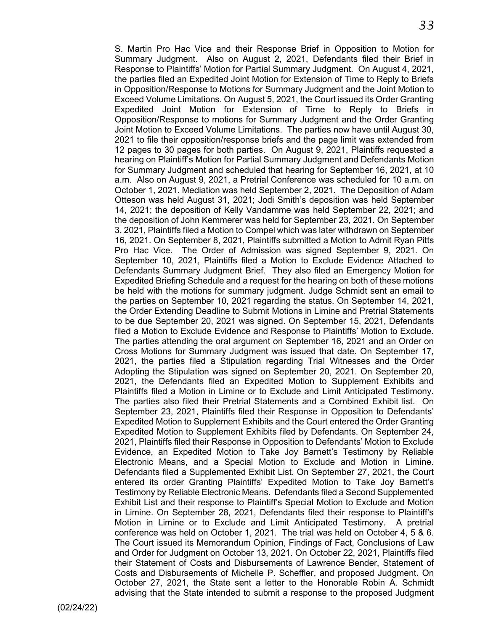S. Martin Pro Hac Vice and their Response Brief in Opposition to Motion for Summary Judgment. Also on August 2, 2021, Defendants filed their Brief in Response to Plaintiffs' Motion for Partial Summary Judgment. On August 4, 2021, the parties filed an Expedited Joint Motion for Extension of Time to Reply to Briefs in Opposition/Response to Motions for Summary Judgment and the Joint Motion to Exceed Volume Limitations. On August 5, 2021, the Court issued its Order Granting Expedited Joint Motion for Extension of Time to Reply to Briefs in Opposition/Response to motions for Summary Judgment and the Order Granting Joint Motion to Exceed Volume Limitations. The parties now have until August 30, 2021 to file their opposition/response briefs and the page limit was extended from 12 pages to 30 pages for both parties. On August 9, 2021, Plaintiffs requested a hearing on Plaintiff's Motion for Partial Summary Judgment and Defendants Motion for Summary Judgment and scheduled that hearing for September 16, 2021, at 10 a.m. Also on August 9, 2021, a Pretrial Conference was scheduled for 10 a.m. on October 1, 2021. Mediation was held September 2, 2021. The Deposition of Adam Otteson was held August 31, 2021; Jodi Smith's deposition was held September 14, 2021; the deposition of Kelly Vandamme was held September 22, 2021; and the deposition of John Kemmerer was held for September 23, 2021. On September 3, 2021, Plaintiffs filed a Motion to Compel which was later withdrawn on September 16, 2021. On September 8, 2021, Plaintiffs submitted a Motion to Admit Ryan Pitts Pro Hac Vice. The Order of Admission was signed September 9, 2021. On September 10, 2021, Plaintiffs filed a Motion to Exclude Evidence Attached to Defendants Summary Judgment Brief. They also filed an Emergency Motion for Expedited Briefing Schedule and a request for the hearing on both of these motions be held with the motions for summary judgment. Judge Schmidt sent an email to the parties on September 10, 2021 regarding the status. On September 14, 2021, the Order Extending Deadline to Submit Motions in Limine and Pretrial Statements to be due September 20, 2021 was signed. On September 15, 2021, Defendants filed a Motion to Exclude Evidence and Response to Plaintiffs' Motion to Exclude. The parties attending the oral argument on September 16, 2021 and an Order on Cross Motions for Summary Judgment was issued that date. On September 17, 2021, the parties filed a Stipulation regarding Trial Witnesses and the Order Adopting the Stipulation was signed on September 20, 2021. On September 20, 2021, the Defendants filed an Expedited Motion to Supplement Exhibits and Plaintiffs filed a Motion in Limine or to Exclude and Limit Anticipated Testimony. The parties also filed their Pretrial Statements and a Combined Exhibit list. On September 23, 2021, Plaintiffs filed their Response in Opposition to Defendants' Expedited Motion to Supplement Exhibits and the Court entered the Order Granting Expedited Motion to Supplement Exhibits filed by Defendants. On September 24, 2021, Plaintiffs filed their Response in Opposition to Defendants' Motion to Exclude Evidence, an Expedited Motion to Take Joy Barnett's Testimony by Reliable Electronic Means, and a Special Motion to Exclude and Motion in Limine. Defendants filed a Supplemented Exhibit List. On September 27, 2021, the Court entered its order Granting Plaintiffs' Expedited Motion to Take Joy Barnett's Testimony by Reliable Electronic Means. Defendants filed a Second Supplemented Exhibit List and their response to Plaintiff's Special Motion to Exclude and Motion in Limine. On September 28, 2021, Defendants filed their response to Plaintiff's Motion in Limine or to Exclude and Limit Anticipated Testimony. A pretrial conference was held on October 1, 2021. The trial was held on October 4, 5 & 6. The Court issued its Memorandum Opinion, Findings of Fact, Conclusions of Law and Order for Judgment on October 13, 2021. On October 22, 2021, Plaintiffs filed their Statement of Costs and Disbursements of Lawrence Bender, Statement of Costs and Disbursements of Michelle P. Scheffler, and proposed Judgment**.** On October 27, 2021, the State sent a letter to the Honorable Robin A. Schmidt advising that the State intended to submit a response to the proposed Judgment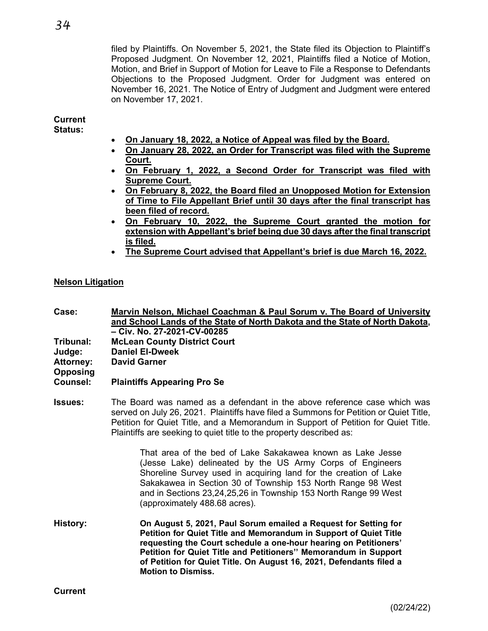filed by Plaintiffs. On November 5, 2021, the State filed its Objection to Plaintiff's Proposed Judgment. On November 12, 2021, Plaintiffs filed a Notice of Motion, Motion, and Brief in Support of Motion for Leave to File a Response to Defendants Objections to the Proposed Judgment. Order for Judgment was entered on November 16, 2021. The Notice of Entry of Judgment and Judgment were entered on November 17, 2021.

#### **Current Status:**

- **On January 18, 2022, a Notice of Appeal was filed by the Board.**
- **On January 28, 2022, an Order for Transcript was filed with the Supreme Court.**
- **On February 1, 2022, a Second Order for Transcript was filed with Supreme Court.**
- **On February 8, 2022, the Board filed an Unopposed Motion for Extension of Time to File Appellant Brief until 30 days after the final transcript has been filed of record.**
- **On February 10, 2022, the Supreme Court granted the motion for extension with Appellant's brief being due 30 days after the final transcript is filed.**
- **The Supreme Court advised that Appellant's brief is due March 16, 2022.**

## **Nelson Litigation**

**Case: Marvin Nelson, Michael Coachman & Paul Sorum v. The Board of University and School Lands of the State of North Dakota and the State of North Dakota, – Civ. No. 27-2021-CV-00285 Tribunal: McLean County District Court Daniel El-Dweek Attorney: David Garner Opposing Counsel: Plaintiffs Appearing Pro Se**

**Issues:** The Board was named as a defendant in the above reference case which was served on July 26, 2021. Plaintiffs have filed a Summons for Petition or Quiet Title, Petition for Quiet Title, and a Memorandum in Support of Petition for Quiet Title. Plaintiffs are seeking to quiet title to the property described as:

> That area of the bed of Lake Sakakawea known as Lake Jesse (Jesse Lake) delineated by the US Army Corps of Engineers Shoreline Survey used in acquiring land for the creation of Lake Sakakawea in Section 30 of Township 153 North Range 98 West and in Sections 23,24,25,26 in Township 153 North Range 99 West (approximately 488.68 acres).

**History: On August 5, 2021, Paul Sorum emailed a Request for Setting for Petition for Quiet Title and Memorandum in Support of Quiet Title requesting the Court schedule a one-hour hearing on Petitioners' Petition for Quiet Title and Petitioners'' Memorandum in Support of Petition for Quiet Title. On August 16, 2021, Defendants filed a Motion to Dismiss.**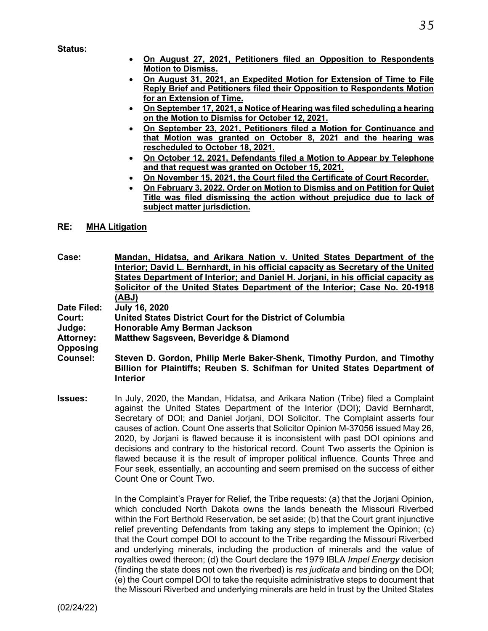**Status:**

- **On August 27, 2021, Petitioners filed an Opposition to Respondents Motion to Dismiss.**
- **On August 31, 2021, an Expedited Motion for Extension of Time to File Reply Brief and Petitioners filed their Opposition to Respondents Motion for an Extension of Time.**
- **On September 17, 2021, a Notice of Hearing was filed scheduling a hearing on the Motion to Dismiss for October 12, 2021.**
- **On September 23, 2021, Petitioners filed a Motion for Continuance and that Motion was granted on October 8, 2021 and the hearing was rescheduled to October 18, 2021.**
- **On October 12, 2021, Defendants filed a Motion to Appear by Telephone and that request was granted on October 15, 2021.**
- **On November 15, 2021, the Court filed the Certificate of Court Recorder.**
- **On February 3, 2022, Order on Motion to Dismiss and on Petition for Quiet Title was filed dismissing the action without prejudice due to lack of subject matter jurisdiction.**

#### **RE: MHA Litigation**

**Case: Mandan, Hidatsa, and Arikara Nation v. United States Department of the Interior; David L. Bernhardt, in his official capacity as Secretary of the United States Department of Interior; and Daniel H. Jorjani, in his official capacity as Solicitor of the United States Department of the Interior; Case No. 20-1918 (ABJ) Date Filed: July 16, 2020 Court: United States District Court for the District of Columbia**

**Judge: Honorable Amy Berman Jackson**

**Matthew Sagsveen, Beveridge & Diamond** 

**Opposing**

- **Counsel: Steven D. Gordon, Philip Merle Baker-Shenk, Timothy Purdon, and Timothy Billion for Plaintiffs; Reuben S. Schifman for United States Department of Interior**
- **Issues:** In July, 2020, the Mandan, Hidatsa, and Arikara Nation (Tribe) filed a Complaint against the United States Department of the Interior (DOI); David Bernhardt, Secretary of DOI; and Daniel Jorjani, DOI Solicitor. The Complaint asserts four causes of action. Count One asserts that Solicitor Opinion M-37056 issued May 26, 2020, by Jorjani is flawed because it is inconsistent with past DOI opinions and decisions and contrary to the historical record. Count Two asserts the Opinion is flawed because it is the result of improper political influence. Counts Three and Four seek, essentially, an accounting and seem premised on the success of either Count One or Count Two.

In the Complaint's Prayer for Relief, the Tribe requests: (a) that the Jorjani Opinion, which concluded North Dakota owns the lands beneath the Missouri Riverbed within the Fort Berthold Reservation, be set aside; (b) that the Court grant injunctive relief preventing Defendants from taking any steps to implement the Opinion; (c) that the Court compel DOI to account to the Tribe regarding the Missouri Riverbed and underlying minerals, including the production of minerals and the value of royalties owed thereon; (d) the Court declare the 1979 IBLA *Impel Energy* decision (finding the state does not own the riverbed) is *res judicata* and binding on the DOI; (e) the Court compel DOI to take the requisite administrative steps to document that the Missouri Riverbed and underlying minerals are held in trust by the United States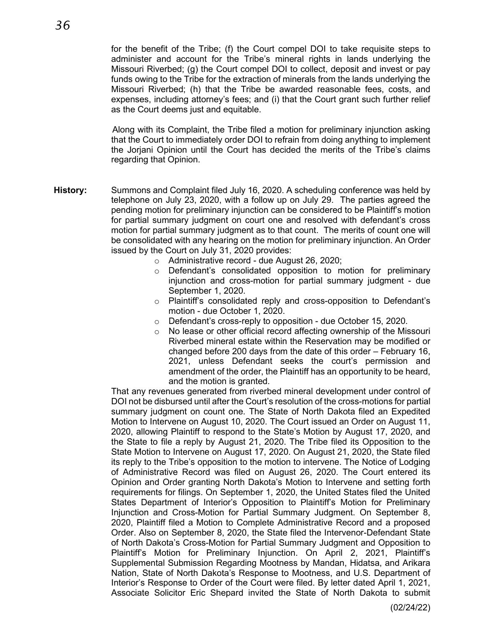for the benefit of the Tribe; (f) the Court compel DOI to take requisite steps to administer and account for the Tribe's mineral rights in lands underlying the Missouri Riverbed; (g) the Court compel DOI to collect, deposit and invest or pay funds owing to the Tribe for the extraction of minerals from the lands underlying the Missouri Riverbed; (h) that the Tribe be awarded reasonable fees, costs, and expenses, including attorney's fees; and (i) that the Court grant such further relief as the Court deems just and equitable.

Along with its Complaint, the Tribe filed a motion for preliminary injunction asking that the Court to immediately order DOI to refrain from doing anything to implement the Jorjani Opinion until the Court has decided the merits of the Tribe's claims regarding that Opinion.

- **History:** Summons and Complaint filed July 16, 2020. A scheduling conference was held by telephone on July 23, 2020, with a follow up on July 29. The parties agreed the pending motion for preliminary injunction can be considered to be Plaintiff's motion for partial summary judgment on court one and resolved with defendant's cross motion for partial summary judgment as to that count. The merits of count one will be consolidated with any hearing on the motion for preliminary injunction. An Order issued by the Court on July 31, 2020 provides:
	- o Administrative record due August 26, 2020;
	- o Defendant's consolidated opposition to motion for preliminary injunction and cross-motion for partial summary judgment - due September 1, 2020.
	- o Plaintiff's consolidated reply and cross-opposition to Defendant's motion - due October 1, 2020.
	- ⊙ Defendant's cross-reply to opposition due October 15, 2020.<br>○ No lease or other official record affecting ownership of the Mis
	- No lease or other official record affecting ownership of the Missouri Riverbed mineral estate within the Reservation may be modified or changed before 200 days from the date of this order – February 16, 2021, unless Defendant seeks the court's permission and amendment of the order, the Plaintiff has an opportunity to be heard, and the motion is granted.

That any revenues generated from riverbed mineral development under control of DOI not be disbursed until after the Court's resolution of the cross-motions for partial summary judgment on count one. The State of North Dakota filed an Expedited Motion to Intervene on August 10, 2020. The Court issued an Order on August 11, 2020, allowing Plaintiff to respond to the State's Motion by August 17, 2020, and the State to file a reply by August 21, 2020. The Tribe filed its Opposition to the State Motion to Intervene on August 17, 2020. On August 21, 2020, the State filed its reply to the Tribe's opposition to the motion to intervene. The Notice of Lodging of Administrative Record was filed on August 26, 2020. The Court entered its Opinion and Order granting North Dakota's Motion to Intervene and setting forth requirements for filings. On September 1, 2020, the United States filed the United States Department of Interior's Opposition to Plaintiff's Motion for Preliminary Injunction and Cross-Motion for Partial Summary Judgment. On September 8, 2020, Plaintiff filed a Motion to Complete Administrative Record and a proposed Order. Also on September 8, 2020, the State filed the Intervenor-Defendant State of North Dakota's Cross-Motion for Partial Summary Judgment and Opposition to Plaintiff's Motion for Preliminary Injunction. On April 2, 2021, Plaintiff's Supplemental Submission Regarding Mootness by Mandan, Hidatsa, and Arikara Nation, State of North Dakota's Response to Mootness, and U.S. Department of Interior's Response to Order of the Court were filed. By letter dated April 1, 2021, Associate Solicitor Eric Shepard invited the State of North Dakota to submit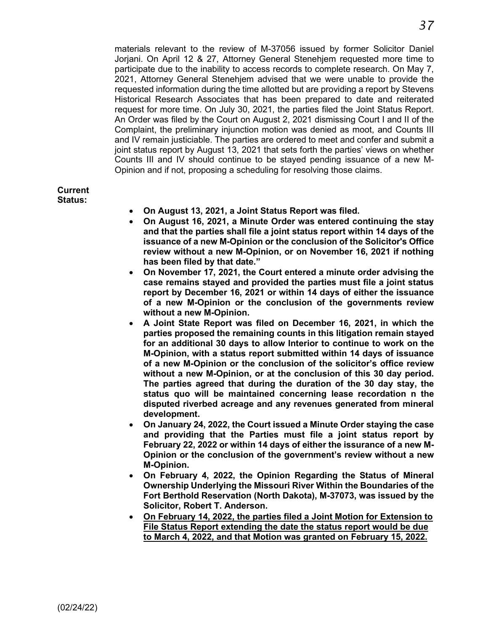materials relevant to the review of M-37056 issued by former Solicitor Daniel Jorjani. On April 12 & 27, Attorney General Stenehjem requested more time to participate due to the inability to access records to complete research. On May 7, 2021, Attorney General Stenehjem advised that we were unable to provide the requested information during the time allotted but are providing a report by Stevens Historical Research Associates that has been prepared to date and reiterated request for more time. On July 30, 2021, the parties filed the Joint Status Report. An Order was filed by the Court on August 2, 2021 dismissing Court I and II of the Complaint, the preliminary injunction motion was denied as moot, and Counts III and IV remain justiciable. The parties are ordered to meet and confer and submit a joint status report by August 13, 2021 that sets forth the parties' views on whether Counts III and IV should continue to be stayed pending issuance of a new M-Opinion and if not, proposing a scheduling for resolving those claims.

#### **Current Status:**

- **On August 13, 2021, a Joint Status Report was filed.**
- **On August 16, 2021, a Minute Order was entered continuing the stay and that the parties shall file a joint status report within 14 days of the issuance of a new M-Opinion or the conclusion of the Solicitor's Office review without a new M-Opinion, or on November 16, 2021 if nothing has been filed by that date."**
- **On November 17, 2021, the Court entered a minute order advising the case remains stayed and provided the parties must file a joint status report by December 16, 2021 or within 14 days of either the issuance of a new M-Opinion or the conclusion of the governments review without a new M-Opinion.**
- **A Joint State Report was filed on December 16, 2021, in which the parties proposed the remaining counts in this litigation remain stayed for an additional 30 days to allow Interior to continue to work on the M-Opinion, with a status report submitted within 14 days of issuance of a new M-Opinion or the conclusion of the solicitor's office review without a new M-Opinion, or at the conclusion of this 30 day period. The parties agreed that during the duration of the 30 day stay, the status quo will be maintained concerning lease recordation n the disputed riverbed acreage and any revenues generated from mineral development.**
- **On January 24, 2022, the Court issued a Minute Order staying the case and providing that the Parties must file a joint status report by February 22, 2022 or within 14 days of either the issurance of a new M-Opinion or the conclusion of the government's review without a new M-Opinion.**
- **On February 4, 2022, the Opinion Regarding the Status of Mineral Ownership Underlying the Missouri River Within the Boundaries of the Fort Berthold Reservation (North Dakota), M-37073, was issued by the Solicitor, Robert T. Anderson.**
- **On February 14, 2022, the parties filed a Joint Motion for Extension to File Status Report extending the date the status report would be due to March 4, 2022, and that Motion was granted on February 15, 2022.**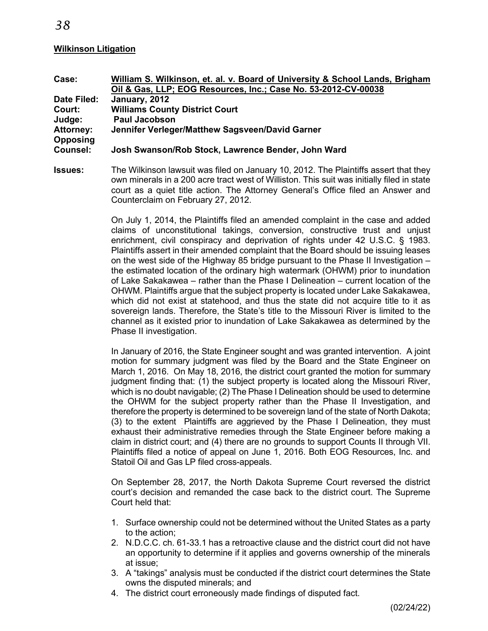#### **Wilkinson Litigation**

| Case:            | William S. Wilkinson, et. al. v. Board of University & School Lands, Brigham |
|------------------|------------------------------------------------------------------------------|
|                  | Oil & Gas, LLP; EOG Resources, Inc.; Case No. 53-2012-CV-00038               |
| Date Filed:      | January, 2012                                                                |
| Court:           | <b>Williams County District Court</b>                                        |
| Judge:           | <b>Paul Jacobson</b>                                                         |
| <b>Attorney:</b> | Jennifer Verleger/Matthew Sagsveen/David Garner                              |
| <b>Opposing</b>  |                                                                              |
| Counsel:         | Josh Swanson/Rob Stock, Lawrence Bender, John Ward                           |

**Issues:** The Wilkinson lawsuit was filed on January 10, 2012. The Plaintiffs assert that they own minerals in a 200 acre tract west of Williston. This suit was initially filed in state court as a quiet title action. The Attorney General's Office filed an Answer and Counterclaim on February 27, 2012.

> On July 1, 2014, the Plaintiffs filed an amended complaint in the case and added claims of unconstitutional takings, conversion, constructive trust and unjust enrichment, civil conspiracy and deprivation of rights under 42 U.S.C. § 1983. Plaintiffs assert in their amended complaint that the Board should be issuing leases on the west side of the Highway 85 bridge pursuant to the Phase II Investigation – the estimated location of the ordinary high watermark (OHWM) prior to inundation of Lake Sakakawea – rather than the Phase I Delineation – current location of the OHWM. Plaintiffs argue that the subject property is located under Lake Sakakawea, which did not exist at statehood, and thus the state did not acquire title to it as sovereign lands. Therefore, the State's title to the Missouri River is limited to the channel as it existed prior to inundation of Lake Sakakawea as determined by the Phase II investigation.

> In January of 2016, the State Engineer sought and was granted intervention. A joint motion for summary judgment was filed by the Board and the State Engineer on March 1, 2016. On May 18, 2016, the district court granted the motion for summary judgment finding that: (1) the subject property is located along the Missouri River, which is no doubt navigable; (2) The Phase I Delineation should be used to determine the OHWM for the subject property rather than the Phase II Investigation, and therefore the property is determined to be sovereign land of the state of North Dakota; (3) to the extent Plaintiffs are aggrieved by the Phase I Delineation, they must exhaust their administrative remedies through the State Engineer before making a claim in district court; and (4) there are no grounds to support Counts II through VII. Plaintiffs filed a notice of appeal on June 1, 2016. Both EOG Resources, Inc. and Statoil Oil and Gas LP filed cross-appeals.

> On September 28, 2017, the North Dakota Supreme Court reversed the district court's decision and remanded the case back to the district court. The Supreme Court held that:

- 1. Surface ownership could not be determined without the United States as a party to the action;
- 2. N.D.C.C. ch. 61-33.1 has a retroactive clause and the district court did not have an opportunity to determine if it applies and governs ownership of the minerals at issue;
- 3. A "takings" analysis must be conducted if the district court determines the State owns the disputed minerals; and
- 4. The district court erroneously made findings of disputed fact.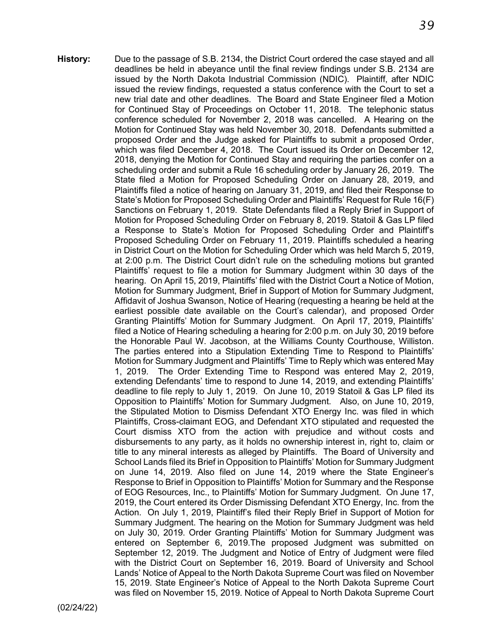**History:** Due to the passage of S.B. 2134, the District Court ordered the case stayed and all deadlines be held in abeyance until the final review findings under S.B. 2134 are issued by the North Dakota Industrial Commission (NDIC). Plaintiff, after NDIC issued the review findings, requested a status conference with the Court to set a new trial date and other deadlines. The Board and State Engineer filed a Motion for Continued Stay of Proceedings on October 11, 2018. The telephonic status conference scheduled for November 2, 2018 was cancelled.A Hearing on the Motion for Continued Stay was held November 30, 2018. Defendants submitted a proposed Order and the Judge asked for Plaintiffs to submit a proposed Order, which was filed December 4, 2018. The Court issued its Order on December 12, 2018, denying the Motion for Continued Stay and requiring the parties confer on a scheduling order and submit a Rule 16 scheduling order by January 26, 2019. The State filed a Motion for Proposed Scheduling Order on January 28, 2019, and Plaintiffs filed a notice of hearing on January 31, 2019, and filed their Response to State's Motion for Proposed Scheduling Order and Plaintiffs' Request for Rule 16(F) Sanctions on February 1, 2019. State Defendants filed a Reply Brief in Support of Motion for Proposed Scheduling Order on February 8, 2019. Statoil & Gas LP filed a Response to State's Motion for Proposed Scheduling Order and Plaintiff's Proposed Scheduling Order on February 11, 2019. Plaintiffs scheduled a hearing in District Court on the Motion for Scheduling Order which was held March 5, 2019, at 2:00 p.m. The District Court didn't rule on the scheduling motions but granted Plaintiffs' request to file a motion for Summary Judgment within 30 days of the hearing. On April 15, 2019, Plaintiffs' filed with the District Court a Notice of Motion, Motion for Summary Judgment, Brief in Support of Motion for Summary Judgment, Affidavit of Joshua Swanson, Notice of Hearing (requesting a hearing be held at the earliest possible date available on the Court's calendar), and proposed Order Granting Plaintiffs' Motion for Summary Judgment. On April 17, 2019, Plaintiffs' filed a Notice of Hearing scheduling a hearing for 2:00 p.m. on July 30, 2019 before the Honorable Paul W. Jacobson, at the Williams County Courthouse, Williston. The parties entered into a Stipulation Extending Time to Respond to Plaintiffs' Motion for Summary Judgment and Plaintiffs' Time to Reply which was entered May 1, 2019. The Order Extending Time to Respond was entered May 2, 2019, extending Defendants' time to respond to June 14, 2019, and extending Plaintiffs' deadline to file reply to July 1, 2019. On June 10, 2019 Statoil & Gas LP filed its Opposition to Plaintiffs' Motion for Summary Judgment. Also, on June 10, 2019, the Stipulated Motion to Dismiss Defendant XTO Energy Inc. was filed in which Plaintiffs, Cross-claimant EOG, and Defendant XTO stipulated and requested the Court dismiss XTO from the action with prejudice and without costs and disbursements to any party, as it holds no ownership interest in, right to, claim or title to any mineral interests as alleged by Plaintiffs. The Board of University and School Lands filed its Brief in Opposition to Plaintiffs' Motion for Summary Judgment on June 14, 2019. Also filed on June 14, 2019 where the State Engineer's Response to Brief in Opposition to Plaintiffs' Motion for Summary and the Response of EOG Resources, Inc., to Plaintiffs' Motion for Summary Judgment. On June 17, 2019, the Court entered its Order Dismissing Defendant XTO Energy, Inc. from the Action. On July 1, 2019, Plaintiff's filed their Reply Brief in Support of Motion for Summary Judgment. The hearing on the Motion for Summary Judgment was held on July 30, 2019. Order Granting Plaintiffs' Motion for Summary Judgment was entered on September 6, 2019.The proposed Judgment was submitted on September 12, 2019. The Judgment and Notice of Entry of Judgment were filed with the District Court on September 16, 2019. Board of University and School Lands' Notice of Appeal to the North Dakota Supreme Court was filed on November 15, 2019. State Engineer's Notice of Appeal to the North Dakota Supreme Court was filed on November 15, 2019. Notice of Appeal to North Dakota Supreme Court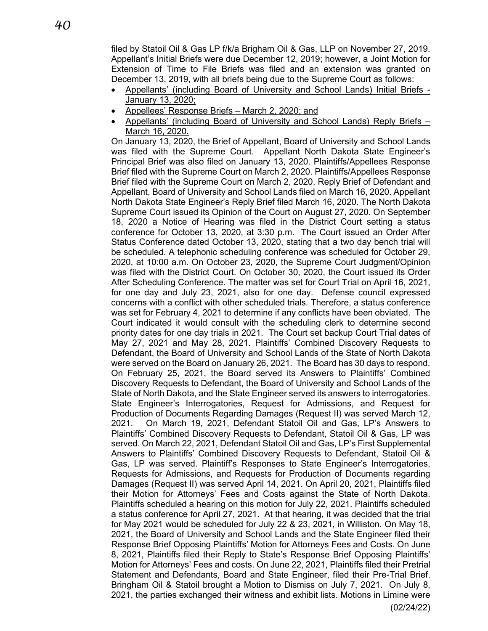filed by Statoil Oil & Gas LP f/k/a Brigham Oil & Gas, LLP on November 27, 2019. Appellant's Initial Briefs were due December 12, 2019; however, a Joint Motion for Extension of Time to File Briefs was filed and an extension was granted on December 13, 2019, with all briefs being due to the Supreme Court as follows:

- Appellants' (including Board of University and School Lands) Initial Briefs January 13, 2020;
- Appellees' Response Briefs March 2, 2020; and
- Appellants' (including Board of University and School Lands) Reply Briefs March 16, 2020.

On January 13, 2020, the Brief of Appellant, Board of University and School Lands was filed with the Supreme Court. Appellant North Dakota State Engineer's Principal Brief was also filed on January 13, 2020. Plaintiffs/Appellees Response Brief filed with the Supreme Court on March 2, 2020. Plaintiffs/Appellees Response Brief filed with the Supreme Court on March 2, 2020. Reply Brief of Defendant and Appellant, Board of University and School Lands filed on March 16, 2020. Appellant North Dakota State Engineer's Reply Brief filed March 16, 2020. The North Dakota Supreme Court issued its Opinion of the Court on August 27, 2020. On September 18, 2020 a Notice of Hearing was filed in the District Court setting a status conference for October 13, 2020, at 3:30 p.m. The Court issued an Order After Status Conference dated October 13, 2020, stating that a two day bench trial will be scheduled. A telephonic scheduling conference was scheduled for October 29, 2020, at 10:00 a.m. On October 23, 2020, the Supreme Court Judgment/Opinion was filed with the District Court. On October 30, 2020, the Court issued its Order After Scheduling Conference. The matter was set for Court Trial on April 16, 2021, for one day and July 23, 2021, also for one day. Defense council expressed concerns with a conflict with other scheduled trials. Therefore, a status conference was set for February 4, 2021 to determine if any conflicts have been obviated. The Court indicated it would consult with the scheduling clerk to determine second priority dates for one day trials in 2021. The Court set backup Court Trial dates of May 27, 2021 and May 28, 2021. Plaintiffs' Combined Discovery Requests to Defendant, the Board of University and School Lands of the State of North Dakota were served on the Board on January 26, 2021. The Board has 30 days to respond. On February 25, 2021, the Board served its Answers to Plaintiffs' Combined Discovery Requests to Defendant, the Board of University and School Lands of the State of North Dakota, and the State Engineer served its answers to interrogatories. State Engineer's Interrogatories, Request for Admissions, and Request for Production of Documents Regarding Damages (Request II) was served March 12, 2021. On March 19, 2021, Defendant Statoil Oil and Gas, LP's Answers to Plaintiffs' Combined Discovery Requests to Defendant, Statoil Oil & Gas, LP was served. On March 22, 2021, Defendant Statoil Oil and Gas, LP's First Supplemental Answers to Plaintiffs' Combined Discovery Requests to Defendant, Statoil Oil & Gas, LP was served. Plaintiff's Responses to State Engineer's Interrogatories, Requests for Admissions, and Requests for Production of Documents regarding Damages (Request II) was served April 14, 2021. On April 20, 2021, Plaintiffs filed their Motion for Attorneys' Fees and Costs against the State of North Dakota. Plaintiffs scheduled a hearing on this motion for July 22, 2021. Plaintiffs scheduled a status conference for April 27, 2021. At that hearing, it was decided that the trial for May 2021 would be scheduled for July 22 & 23, 2021, in Williston. On May 18, 2021, the Board of University and School Lands and the State Engineer filed their Response Brief Opposing Plaintiffs' Motion for Attorneys Fees and Costs. On June 8, 2021, Plaintiffs filed their Reply to State's Response Brief Opposing Plaintiffs' Motion for Attorneys' Fees and costs. On June 22, 2021, Plaintiffs filed their Pretrial Statement and Defendants, Board and State Engineer, filed their Pre-Trial Brief. Bringham Oil & Statoil brought a Motion to Dismiss on July 7, 2021. On July 8, 2021, the parties exchanged their witness and exhibit lists. Motions in Limine were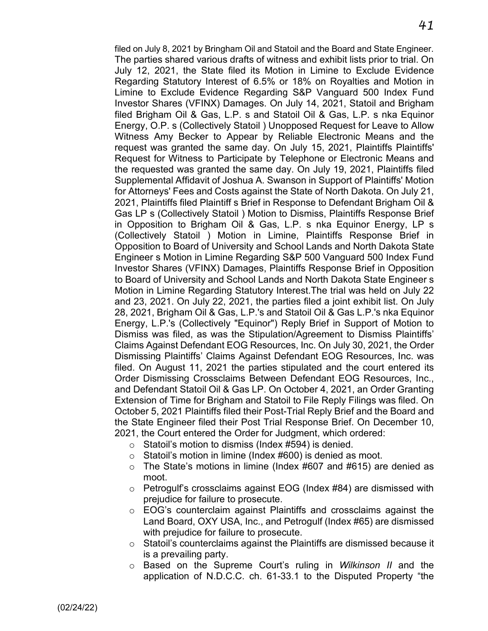filed on July 8, 2021 by Bringham Oil and Statoil and the Board and State Engineer. The parties shared various drafts of witness and exhibit lists prior to trial. On July 12, 2021, the State filed its Motion in Limine to Exclude Evidence Regarding Statutory Interest of 6.5% or 18% on Royalties and Motion in Limine to Exclude Evidence Regarding S&P Vanguard 500 Index Fund Investor Shares (VFINX) Damages. On July 14, 2021, Statoil and Brigham filed Brigham Oil & Gas, L.P. s and Statoil Oil & Gas, L.P. s nka Equinor Energy, O.P. s (Collectively Statoil ) Unopposed Request for Leave to Allow Witness Amy Becker to Appear by Reliable Electronic Means and the request was granted the same day. On July 15, 2021, Plaintiffs Plaintiffs' Request for Witness to Participate by Telephone or Electronic Means and the requested was granted the same day. On July 19, 2021, Plaintiffs filed Supplemental Affidavit of Joshua A. Swanson in Support of Plaintiffs' Motion for Attorneys' Fees and Costs against the State of North Dakota. On July 21, 2021, Plaintiffs filed Plaintiff s Brief in Response to Defendant Brigham Oil & Gas LP s (Collectively Statoil ) Motion to Dismiss, Plaintiffs Response Brief in Opposition to Brigham Oil & Gas, L.P. s nka Equinor Energy, LP s (Collectively Statoil ) Motion in Limine, Plaintiffs Response Brief in Opposition to Board of University and School Lands and North Dakota State Engineer s Motion in Limine Regarding S&P 500 Vanguard 500 Index Fund Investor Shares (VFINX) Damages, Plaintiffs Response Brief in Opposition to Board of University and School Lands and North Dakota State Engineer s Motion in Limine Regarding Statutory Interest.The trial was held on July 22 and 23, 2021. On July 22, 2021, the parties filed a joint exhibit list. On July 28, 2021, Brigham Oil & Gas, L.P.'s and Statoil Oil & Gas L.P.'s nka Equinor Energy, L.P.'s (Collectively "Equinor") Reply Brief in Support of Motion to Dismiss was filed, as was the Stipulation/Agreement to Dismiss Plaintiffs' Claims Against Defendant EOG Resources, Inc. On July 30, 2021, the Order Dismissing Plaintiffs' Claims Against Defendant EOG Resources, Inc. was filed. On August 11, 2021 the parties stipulated and the court entered its Order Dismissing Crossclaims Between Defendant EOG Resources, Inc., and Defendant Statoil Oil & Gas LP. On October 4, 2021, an Order Granting Extension of Time for Brigham and Statoil to File Reply Filings was filed. On October 5, 2021 Plaintiffs filed their Post-Trial Reply Brief and the Board and the State Engineer filed their Post Trial Response Brief. On December 10, 2021, the Court entered the Order for Judgment, which ordered:

- $\circ$  Statoil's motion to dismiss (Index #594) is denied.
- o Statoil's motion in limine (Index #600) is denied as moot.
- $\circ$  The State's motions in limine (Index #607 and #615) are denied as moot.
- $\circ$  Petrogulf's crossclaims against EOG (Index #84) are dismissed with prejudice for failure to prosecute.
- o EOG's counterclaim against Plaintiffs and crossclaims against the Land Board, OXY USA, Inc., and Petrogulf (Index #65) are dismissed with prejudice for failure to prosecute.
- o Statoil's counterclaims against the Plaintiffs are dismissed because it is a prevailing party.
- o Based on the Supreme Court's ruling in *Wilkinson II* and the application of N.D.C.C. ch. 61-33.1 to the Disputed Property "the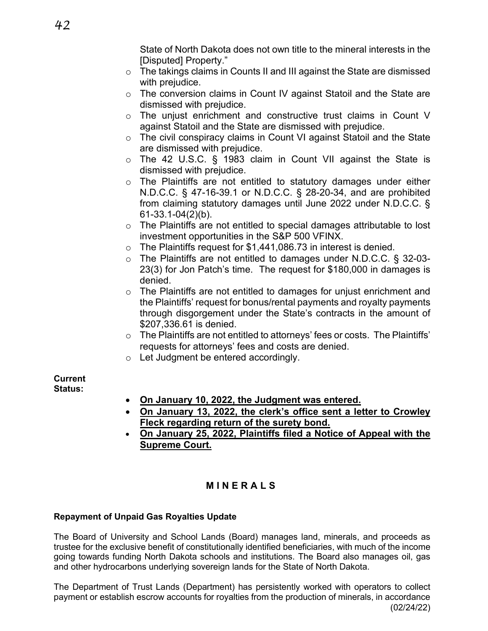State of North Dakota does not own title to the mineral interests in the [Disputed] Property."

- o The takings claims in Counts II and III against the State are dismissed with prejudice.
- o The conversion claims in Count IV against Statoil and the State are dismissed with prejudice.
- o The unjust enrichment and constructive trust claims in Count V against Statoil and the State are dismissed with prejudice.
- o The civil conspiracy claims in Count VI against Statoil and the State are dismissed with prejudice.
- o The 42 U.S.C. § 1983 claim in Count VII against the State is dismissed with prejudice.
- o The Plaintiffs are not entitled to statutory damages under either N.D.C.C. § 47-16-39.1 or N.D.C.C. § 28-20-34, and are prohibited from claiming statutory damages until June 2022 under N.D.C.C. § 61-33.1-04(2)(b).
- o The Plaintiffs are not entitled to special damages attributable to lost investment opportunities in the S&P 500 VFINX.
- o The Plaintiffs request for \$1,441,086.73 in interest is denied.
- o The Plaintiffs are not entitled to damages under N.D.C.C. § 32-03- 23(3) for Jon Patch's time. The request for \$180,000 in damages is denied.
- $\circ$  The Plaintiffs are not entitled to damages for unjust enrichment and the Plaintiffs' request for bonus/rental payments and royalty payments through disgorgement under the State's contracts in the amount of \$207,336.61 is denied.
- $\circ$  The Plaintiffs are not entitled to attorneys' fees or costs. The Plaintiffs' requests for attorneys' fees and costs are denied.
- o Let Judgment be entered accordingly.

**Current Status:**

- **On January 10, 2022, the Judgment was entered.**
- **On January 13, 2022, the clerk's office sent a letter to Crowley Fleck regarding return of the surety bond.**
- **On January 25, 2022, Plaintiffs filed a Notice of Appeal with the Supreme Court.**

# **MINERALS**

## **Repayment of Unpaid Gas Royalties Update**

The Board of University and School Lands (Board) manages land, minerals, and proceeds as trustee for the exclusive benefit of constitutionally identified beneficiaries, with much of the income going towards funding North Dakota schools and institutions. The Board also manages oil, gas and other hydrocarbons underlying sovereign lands for the State of North Dakota.

(02/24/22) The Department of Trust Lands (Department) has persistently worked with operators to collect payment or establish escrow accounts for royalties from the production of minerals, in accordance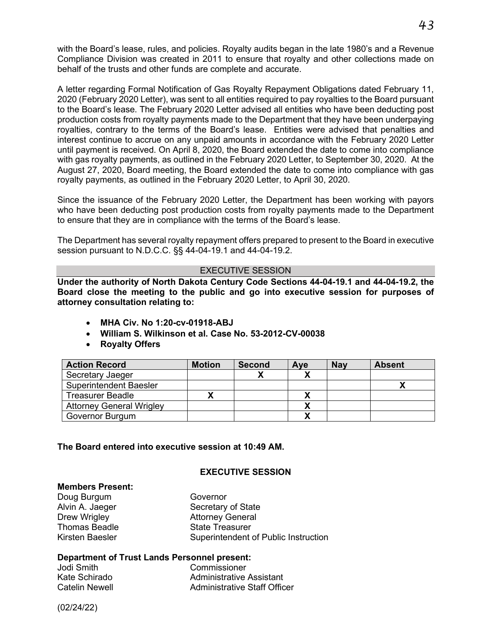with the Board's lease, rules, and policies. Royalty audits began in the late 1980's and a Revenue Compliance Division was created in 2011 to ensure that royalty and other collections made on behalf of the trusts and other funds are complete and accurate.

A letter regarding Formal Notification of Gas Royalty Repayment Obligations dated February 11, 2020 (February 2020 Letter), was sent to all entities required to pay royalties to the Board pursuant to the Board's lease. The February 2020 Letter advised all entities who have been deducting post production costs from royalty payments made to the Department that they have been underpaying royalties, contrary to the terms of the Board's lease. Entities were advised that penalties and interest continue to accrue on any unpaid amounts in accordance with the February 2020 Letter until payment is received. On April 8, 2020, the Board extended the date to come into compliance with gas royalty payments, as outlined in the February 2020 Letter, to September 30, 2020. At the August 27, 2020, Board meeting, the Board extended the date to come into compliance with gas royalty payments, as outlined in the February 2020 Letter, to April 30, 2020.

Since the issuance of the February 2020 Letter, the Department has been working with payors who have been deducting post production costs from royalty payments made to the Department to ensure that they are in compliance with the terms of the Board's lease.

The Department has several royalty repayment offers prepared to present to the Board in executive session pursuant to N.D.C.C. §§ 44-04-19.1 and 44-04-19.2.

#### EXECUTIVE SESSION

**Under the authority of North Dakota Century Code Sections 44-04-19.1 and 44-04-19.2, the Board close the meeting to the public and go into executive session for purposes of attorney consultation relating to:**

- **MHA Civ. No 1:20-cv-01918-ABJ**
- **William S. Wilkinson et al. Case No. 53-2012-CV-00038**
- **Royalty Offers**

| <b>Action Record</b>            | <b>Motion</b> | <b>Second</b> | Ave | <b>Nay</b> | <b>Absent</b> |
|---------------------------------|---------------|---------------|-----|------------|---------------|
| Secretary Jaeger                |               |               |     |            |               |
| <b>Superintendent Baesler</b>   |               |               |     |            |               |
| <b>Treasurer Beadle</b>         |               |               |     |            |               |
| <b>Attorney General Wrigley</b> |               |               |     |            |               |
| Governor Burgum                 |               |               |     |            |               |

#### **The Board entered into executive session at 10:49 AM.**

#### **EXECUTIVE SESSION**

#### **Members Present:**

Doug Burgum Governor<br>Alvin A. Jaeger Governor Secretary Thomas Beadle

Secretary of State Drew Wrigley **Attorney General**<br>
Thomas Beadle **Actual** State Treasurer Kirsten Baesler Superintendent of Public Instruction

#### **Department of Trust Lands Personnel present:**

Jodi Smith Commissioner

Administrative Assistant Catelin Newell **Administrative Staff Officer**